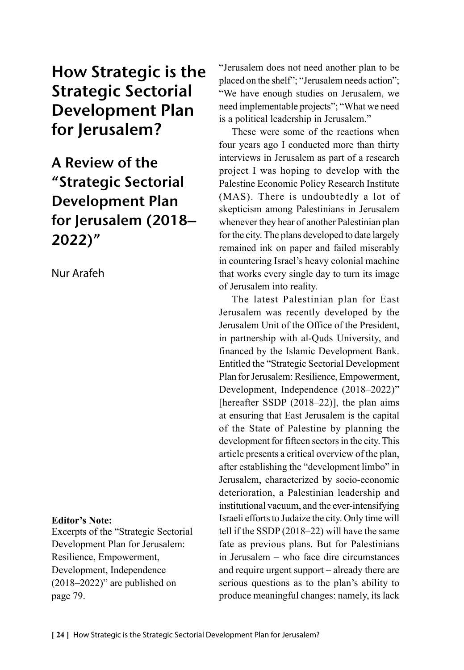# How Strategic is the Strategic Sectorial Development Plan for Jerusalem?

A Review of the "Strategic Sectorial Development Plan for Jerusalem (2018– 2022)"

Nur Arafeh

### **Editor's Note:**

Excerpts of the "Strategic Sectorial Development Plan for Jerusalem: Resilience, Empowerment, Development, Independence  $(2018-2022)$ " are published on page 79.

"Jerusalem does not need another plan to be placed on the shelf"; "Jerusalem needs action"; "We have enough studies on Jerusalem, we need implementable projects"; "What we need is a political leadership in Jerusalem."

These were some of the reactions when four years ago I conducted more than thirty interviews in Jerusalem as part of a research project I was hoping to develop with the Palestine Economic Policy Research Institute (MAS). There is undoubtedly a lot of skepticism among Palestinians in Jerusalem whenever they hear of another Palestinian plan for the city. The plans developed to date largely remained ink on paper and failed miserably in countering Israel's heavy colonial machine that works every single day to turn its image of Jerusalem into reality.

The latest Palestinian plan for East Jerusalem was recently developed by the Jerusalem Unit of the Office of the President, in partnership with al-Quds University, and financed by the Islamic Development Bank. Entitled the "Strategic Sectorial Development Plan for Jerusalem: Resilience, Empowerment, Development, Independence (2018–2022)" [hereafter SSDP (2018–22)], the plan aims at ensuring that East Jerusalem is the capital of the State of Palestine by planning the development for fifteen sectors in the city. This article presents a critical overview of the plan, after establishing the "development limbo" in Jerusalem, characterized by socio-economic deterioration, a Palestinian leadership and institutional vacuum, and the ever-intensifying Israeli efforts to Judaize the city. Only time will tell if the SSDP (2018–22) will have the same fate as previous plans. But for Palestinians in Jerusalem – who face dire circumstances and require urgent support – already there are serious questions as to the plan's ability to produce meaningful changes: namely, its lack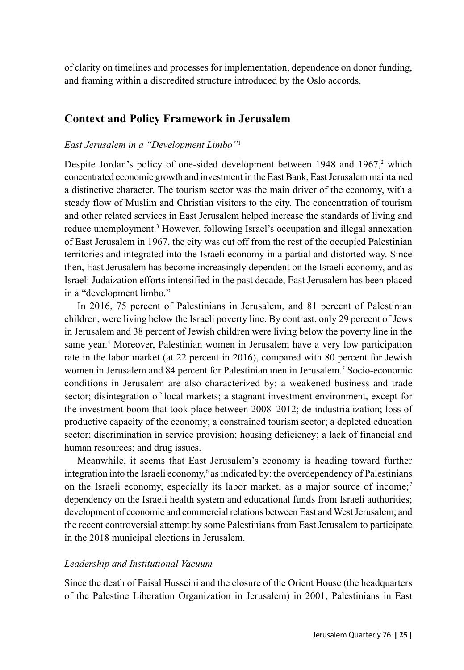of clarity on timelines and processes for implementation, dependence on donor funding, and framing within a discredited structure introduced by the Oslo accords.

## **Context and Policy Framework in Jerusalem**

#### *East Jerusalem in a "Development Limbo"*<sup>1</sup>

Despite Jordan's policy of one-sided development between  $1948$  and  $1967$ , which concentrated economic growth and investment in the East Bank, East Jerusalem maintained a distinctive character. The tourism sector was the main driver of the economy, with a steady flow of Muslim and Christian visitors to the city. The concentration of tourism and other related services in East Jerusalem helped increase the standards of living and reduce unemployment.<sup>3</sup> However, following Israel's occupation and illegal annexation of East Jerusalem in 1967, the city was cut off from the rest of the occupied Palestinian territories and integrated into the Israeli economy in a partial and distorted way. Since then, East Jerusalem has become increasingly dependent on the Israeli economy, and as Israeli Judaization efforts intensified in the past decade, East Jerusalem has been placed in a "development limbo."

In 2016, 75 percent of Palestinians in Jerusalem, and 81 percent of Palestinian children, were living below the Israeli poverty line. By contrast, only 29 percent of Jews in Jerusalem and 38 percent of Jewish children were living below the poverty line in the same year.<sup>4</sup> Moreover, Palestinian women in Jerusalem have a very low participation rate in the labor market (at 22 percent in 2016), compared with 80 percent for Jewish women in Jerusalem and 84 percent for Palestinian men in Jerusalem.<sup>5</sup> Socio-economic conditions in Jerusalem are also characterized by: a weakened business and trade sector; disintegration of local markets; a stagnant investment environment, except for the investment boom that took place between 2008–2012; de-industrialization; loss of productive capacity of the economy; a constrained tourism sector; a depleted education sector; discrimination in service provision; housing deficiency; a lack of financial and human resources; and drug issues.

Meanwhile, it seems that East Jerusalem's economy is heading toward further integration into the Israeli economy,<sup>6</sup> as indicated by: the overdependency of Palestinians on the Israeli economy, especially its labor market, as a major source of income;<sup>7</sup> dependency on the Israeli health system and educational funds from Israeli authorities; development of economic and commercial relations between East and West Jerusalem; and the recent controversial attempt by some Palestinians from East Jerusalem to participate in the 2018 municipal elections in Jerusalem.

#### *Leadership and Institutional Vacuum*

Since the death of Faisal Husseini and the closure of the Orient House (the headquarters of the Palestine Liberation Organization in Jerusalem) in 2001, Palestinians in East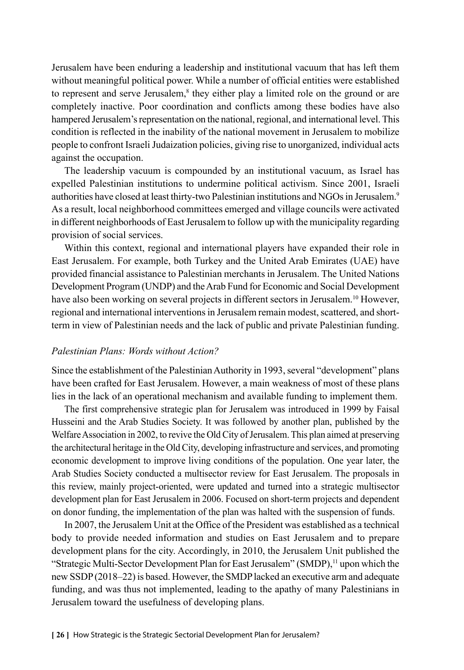Jerusalem have been enduring a leadership and institutional vacuum that has left them without meaningful political power. While a number of official entities were established to represent and serve Jerusalem,<sup>8</sup> they either play a limited role on the ground or are completely inactive. Poor coordination and conflicts among these bodies have also hampered Jerusalem's representation on the national, regional, and international level. This condition is reflected in the inability of the national movement in Jerusalem to mobilize people to confront Israeli Judaization policies, giving rise to unorganized, individual acts against the occupation.

The leadership vacuum is compounded by an institutional vacuum, as Israel has expelled Palestinian institutions to undermine political activism. Since 2001, Israeli authorities have closed at least thirty-two Palestinian institutions and NGOs in Jerusalem.9 As a result, local neighborhood committees emerged and village councils were activated in different neighborhoods of East Jerusalem to follow up with the municipality regarding provision of social services.

Within this context, regional and international players have expanded their role in East Jerusalem. For example, both Turkey and the United Arab Emirates (UAE) have provided financial assistance to Palestinian merchants in Jerusalem. The United Nations Development Program (UNDP) and the Arab Fund for Economic and Social Development have also been working on several projects in different sectors in Jerusalem.10 However, regional and international interventions in Jerusalem remain modest, scattered, and shortterm in view of Palestinian needs and the lack of public and private Palestinian funding.

#### *Palestinian Plans: Words without Action?*

Since the establishment of the Palestinian Authority in 1993, several "development" plans have been crafted for East Jerusalem. However, a main weakness of most of these plans lies in the lack of an operational mechanism and available funding to implement them.

The first comprehensive strategic plan for Jerusalem was introduced in 1999 by Faisal Husseini and the Arab Studies Society. It was followed by another plan, published by the Welfare Association in 2002, to revive the Old City of Jerusalem. This plan aimed at preserving the architectural heritage in the Old City, developing infrastructure and services, and promoting economic development to improve living conditions of the population. One year later, the Arab Studies Society conducted a multisector review for East Jerusalem. The proposals in this review, mainly project-oriented, were updated and turned into a strategic multisector development plan for East Jerusalem in 2006. Focused on short-term projects and dependent on donor funding, the implementation of the plan was halted with the suspension of funds.

In 2007, the Jerusalem Unit at the Office of the President was established as a technical body to provide needed information and studies on East Jerusalem and to prepare development plans for the city. Accordingly, in 2010, the Jerusalem Unit published the "Strategic Multi-Sector Development Plan for East Jerusalem" (SMDP),<sup>11</sup> upon which the new SSDP (2018–22) is based. However, the SMDP lacked an executive arm and adequate funding, and was thus not implemented, leading to the apathy of many Palestinians in Jerusalem toward the usefulness of developing plans.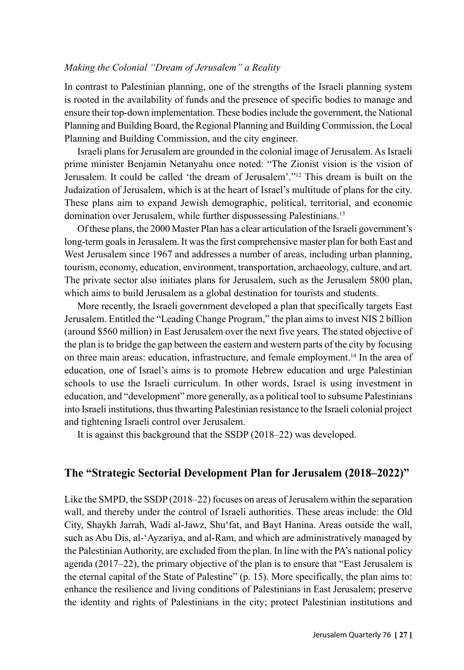#### *Making the Colonial "Dream of Jerusalem" a Reality*

In contrast to Palestinian planning, one of the strengths of the Israeli planning system is rooted in the availability of funds and the presence of specific bodies to manage and ensure their top-down implementation. These bodies include the government, the National Planning and Building Board, the Regional Planning and Building Commission, the Local Planning and Building Commission, and the city engineer.

Israeli plans for Jerusalem are grounded in the colonial image of Jerusalem. As Israeli prime minister Benjamin Netanyahu once noted: "The Zionist vision is the vision of Jerusalem. It could be called 'the dream of Jerusalem'."12 This dream is built on the Judaization of Jerusalem, which is at the heart of Israel's multitude of plans for the city. These plans aim to expand Jewish demographic, political, territorial, and economic domination over Jerusalem, while further dispossessing Palestinians.13

Of these plans, the 2000 Master Plan has a clear articulation of the Israeli government's long-term goals in Jerusalem. It was the first comprehensive master plan for both East and West Jerusalem since 1967 and addresses a number of areas, including urban planning, tourism, economy, education, environment, transportation, archaeology, culture, and art. The private sector also initiates plans for Jerusalem, such as the Jerusalem 5800 plan, which aims to build Jerusalem as a global destination for tourists and students.

More recently, the Israeli government developed a plan that specifically targets East Jerusalem. Entitled the "Leading Change Program," the plan aims to invest NIS 2 billion (around \$560 million) in East Jerusalem over the next five years. The stated objective of the plan is to bridge the gap between the eastern and western parts of the city by focusing on three main areas: education, infrastructure, and female employment.14 In the area of education, one of Israel's aims is to promote Hebrew education and urge Palestinian schools to use the Israeli curriculum. In other words, Israel is using investment in education, and "development" more generally, as a political tool to subsume Palestinians into Israeli institutions, thus thwarting Palestinian resistance to the Israeli colonial project and tightening Israeli control over Jerusalem.

It is against this background that the SSDP (2018–22) was developed.

## **The "Strategic Sectorial Development Plan for Jerusalem (2018–2022)"**

Like the SMPD, the SSDP (2018–22) focuses on areas of Jerusalem within the separation wall, and thereby under the control of Israeli authorities. These areas include: the Old City, Shaykh Jarrah, Wadi al-Jawz, Shu'fat, and Bayt Hanina. Areas outside the wall, such as Abu Dis, al-'Ayzariya, and al-Ram, and which are administratively managed by the Palestinian Authority, are excluded from the plan. In line with the PA's national policy agenda (2017–22), the primary objective of the plan is to ensure that "East Jerusalem is the eternal capital of the State of Palestine" (p. 15). More specifically, the plan aims to: enhance the resilience and living conditions of Palestinians in East Jerusalem; preserve the identity and rights of Palestinians in the city; protect Palestinian institutions and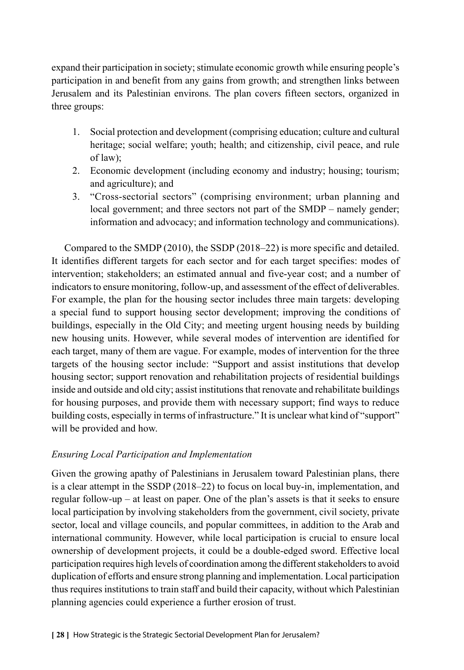expand their participation in society; stimulate economic growth while ensuring people's participation in and benefit from any gains from growth; and strengthen links between Jerusalem and its Palestinian environs. The plan covers fifteen sectors, organized in three groups:

- 1. Social protection and development (comprising education; culture and cultural heritage; social welfare; youth; health; and citizenship, civil peace, and rule of law);
- 2. Economic development (including economy and industry; housing; tourism; and agriculture); and
- 3. "Cross-sectorial sectors" (comprising environment; urban planning and local government; and three sectors not part of the SMDP – namely gender; information and advocacy; and information technology and communications).

Compared to the SMDP (2010), the SSDP (2018–22) is more specific and detailed. It identifies different targets for each sector and for each target specifies: modes of intervention; stakeholders; an estimated annual and five-year cost; and a number of indicators to ensure monitoring, follow-up, and assessment of the effect of deliverables. For example, the plan for the housing sector includes three main targets: developing a special fund to support housing sector development; improving the conditions of buildings, especially in the Old City; and meeting urgent housing needs by building new housing units. However, while several modes of intervention are identified for each target, many of them are vague. For example, modes of intervention for the three targets of the housing sector include: "Support and assist institutions that develop housing sector; support renovation and rehabilitation projects of residential buildings inside and outside and old city; assist institutions that renovate and rehabilitate buildings for housing purposes, and provide them with necessary support; find ways to reduce building costs, especially in terms of infrastructure." It is unclear what kind of "support" will be provided and how.

## *Ensuring Local Participation and Implementation*

Given the growing apathy of Palestinians in Jerusalem toward Palestinian plans, there is a clear attempt in the SSDP (2018–22) to focus on local buy-in, implementation, and regular follow-up – at least on paper. One of the plan's assets is that it seeks to ensure local participation by involving stakeholders from the government, civil society, private sector, local and village councils, and popular committees, in addition to the Arab and international community. However, while local participation is crucial to ensure local ownership of development projects, it could be a double-edged sword. Effective local participation requires high levels of coordination among the different stakeholders to avoid duplication of efforts and ensure strong planning and implementation. Local participation thus requires institutions to train staff and build their capacity, without which Palestinian planning agencies could experience a further erosion of trust.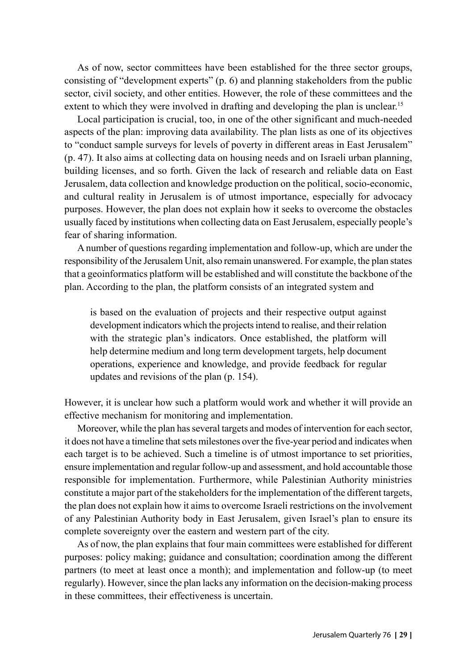As of now, sector committees have been established for the three sector groups, consisting of "development experts" (p. 6) and planning stakeholders from the public sector, civil society, and other entities. However, the role of these committees and the extent to which they were involved in drafting and developing the plan is unclear.<sup>15</sup>

Local participation is crucial, too, in one of the other significant and much-needed aspects of the plan: improving data availability. The plan lists as one of its objectives to "conduct sample surveys for levels of poverty in different areas in East Jerusalem" (p. 47). It also aims at collecting data on housing needs and on Israeli urban planning, building licenses, and so forth. Given the lack of research and reliable data on East Jerusalem, data collection and knowledge production on the political, socio-economic, and cultural reality in Jerusalem is of utmost importance, especially for advocacy purposes. However, the plan does not explain how it seeks to overcome the obstacles usually faced by institutions when collecting data on East Jerusalem, especially people's fear of sharing information.

A number of questions regarding implementation and follow-up, which are under the responsibility of the Jerusalem Unit, also remain unanswered. For example, the plan states that a geoinformatics platform will be established and will constitute the backbone of the plan. According to the plan, the platform consists of an integrated system and

is based on the evaluation of projects and their respective output against development indicators which the projects intend to realise, and their relation with the strategic plan's indicators. Once established, the platform will help determine medium and long term development targets, help document operations, experience and knowledge, and provide feedback for regular updates and revisions of the plan (p. 154).

However, it is unclear how such a platform would work and whether it will provide an effective mechanism for monitoring and implementation.

Moreover, while the plan has several targets and modes of intervention for each sector, it does not have a timeline that sets milestones over the five-year period and indicates when each target is to be achieved. Such a timeline is of utmost importance to set priorities, ensure implementation and regular follow-up and assessment, and hold accountable those responsible for implementation. Furthermore, while Palestinian Authority ministries constitute a major part of the stakeholders for the implementation of the different targets, the plan does not explain how it aims to overcome Israeli restrictions on the involvement of any Palestinian Authority body in East Jerusalem, given Israel's plan to ensure its complete sovereignty over the eastern and western part of the city.

As of now, the plan explains that four main committees were established for different purposes: policy making; guidance and consultation; coordination among the different partners (to meet at least once a month); and implementation and follow-up (to meet regularly). However, since the plan lacks any information on the decision-making process in these committees, their effectiveness is uncertain.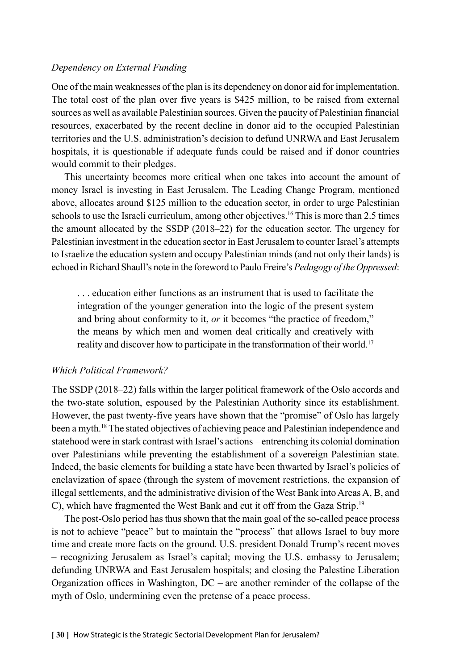#### *Dependency on External Funding*

One of the main weaknesses of the plan is its dependency on donor aid for implementation. The total cost of the plan over five years is \$425 million, to be raised from external sources as well as available Palestinian sources. Given the paucity of Palestinian financial resources, exacerbated by the recent decline in donor aid to the occupied Palestinian territories and the U.S. administration's decision to defund UNRWA and East Jerusalem hospitals, it is questionable if adequate funds could be raised and if donor countries would commit to their pledges.

This uncertainty becomes more critical when one takes into account the amount of money Israel is investing in East Jerusalem. The Leading Change Program, mentioned above, allocates around \$125 million to the education sector, in order to urge Palestinian schools to use the Israeli curriculum, among other objectives.<sup>16</sup> This is more than 2.5 times the amount allocated by the SSDP (2018–22) for the education sector. The urgency for Palestinian investment in the education sector in East Jerusalem to counter Israel's attempts to Israelize the education system and occupy Palestinian minds (and not only their lands) is echoed in Richard Shaull's note in the foreword to Paulo Freire's *Pedagogy of the Oppressed*:

. . . education either functions as an instrument that is used to facilitate the integration of the younger generation into the logic of the present system and bring about conformity to it, *or* it becomes "the practice of freedom," the means by which men and women deal critically and creatively with reality and discover how to participate in the transformation of their world.<sup>17</sup>

#### *Which Political Framework?*

The SSDP (2018–22) falls within the larger political framework of the Oslo accords and the two-state solution, espoused by the Palestinian Authority since its establishment. However, the past twenty-five years have shown that the "promise" of Oslo has largely been a myth.18 The stated objectives of achieving peace and Palestinian independence and statehood were in stark contrast with Israel's actions – entrenching its colonial domination over Palestinians while preventing the establishment of a sovereign Palestinian state. Indeed, the basic elements for building a state have been thwarted by Israel's policies of enclavization of space (through the system of movement restrictions, the expansion of illegal settlements, and the administrative division of the West Bank into Areas A, B, and C), which have fragmented the West Bank and cut it off from the Gaza Strip.19

The post-Oslo period has thus shown that the main goal of the so-called peace process is not to achieve "peace" but to maintain the "process" that allows Israel to buy more time and create more facts on the ground. U.S. president Donald Trump's recent moves – recognizing Jerusalem as Israel's capital; moving the U.S. embassy to Jerusalem; defunding UNRWA and East Jerusalem hospitals; and closing the Palestine Liberation Organization offices in Washington, DC – are another reminder of the collapse of the myth of Oslo, undermining even the pretense of a peace process.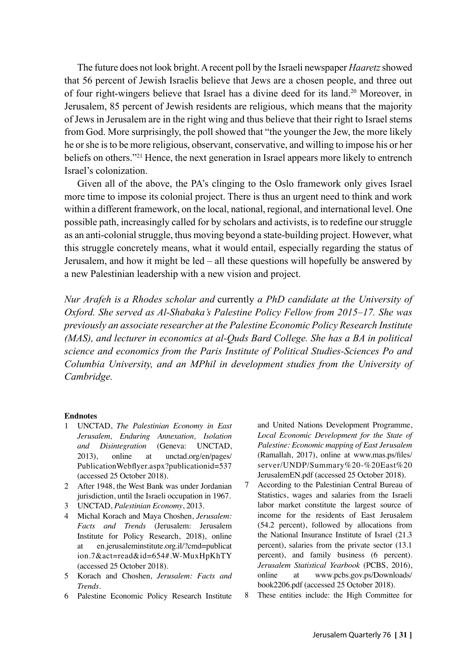The future does not look bright. A recent poll by the Israeli newspaper *Haaretz* showed that 56 percent of Jewish Israelis believe that Jews are a chosen people, and three out of four right-wingers believe that Israel has a divine deed for its land.<sup>20</sup> Moreover, in Jerusalem, 85 percent of Jewish residents are religious, which means that the majority of Jews in Jerusalem are in the right wing and thus believe that their right to Israel stems from God. More surprisingly, the poll showed that "the younger the Jew, the more likely he or she is to be more religious, observant, conservative, and willing to impose his or her beliefs on others."21 Hence, the next generation in Israel appears more likely to entrench Israel's colonization.

Given all of the above, the PA's clinging to the Oslo framework only gives Israel more time to impose its colonial project. There is thus an urgent need to think and work within a different framework, on the local, national, regional, and international level. One possible path, increasingly called for by scholars and activists, is to redefine our struggle as an anti-colonial struggle, thus moving beyond a state-building project. However, what this struggle concretely means, what it would entail, especially regarding the status of Jerusalem, and how it might be led – all these questions will hopefully be answered by a new Palestinian leadership with a new vision and project.

*Nur Arafeh is a Rhodes scholar and* currently *a PhD candidate at the University of Oxford. She served as Al-Shabaka's Palestine Policy Fellow from 2015–17. She was previously an associate researcher at the Palestine Economic Policy Research Institute (MAS), and lecturer in economics at al-Quds Bard College. She has a BA in political science and economics from the Paris Institute of Political Studies-Sciences Po and Columbia University, and an MPhil in development studies from the University of Cambridge.*

#### **Endnotes**

- 1 UNCTAD, *The Palestinian Economy in East Jerusalem, Enduring Annexation, Isolation and Disintegration* (Geneva: UNCTAD, 2013), online at unctad.org/en/pages/ PublicationWebflyer.aspx?publicationid=537 (accessed 25 October 2018).
- 2 After 1948, the West Bank was under Jordanian jurisdiction, until the Israeli occupation in 1967.
- 3 UNCTAD, *Palestinian Economy*, 2013.
- 4 Michal Korach and Maya Choshen, *Jerusalem: Facts and Trends* (Jerusalem: Jerusalem Institute for Policy Research, 2018), online at en.jerusaleminstitute.org.il/?cmd=publicat ion.7&act=read&id=654#.W-MuxHpKhTY (accessed 25 October 2018).
- 5 Korach and Choshen, *Jerusalem: Facts and Trends*.
- 6 Palestine Economic Policy Research Institute

and United Nations Development Programme, *Local Economic Development for the State of Palestine: Economic mapping of East Jerusalem* (Ramallah, 2017), online at www.mas.ps/files/ server/UNDP/Summary%20-%20East%20 JerusalemEN.pdf (accessed 25 October 2018).

- 7 According to the Palestinian Central Bureau of Statistics, wages and salaries from the Israeli labor market constitute the largest source of income for the residents of East Jerusalem (54.2 percent), followed by allocations from the National Insurance Institute of Israel (21.3 percent), salaries from the private sector (13.1 percent), and family business (6 percent). *Jerusalem Statistical Yearbook* (PCBS, 2016), online at www.pcbs.gov.ps/Downloads/ book2206.pdf (accessed 25 October 2018).
- 8 These entities include: the High Committee for